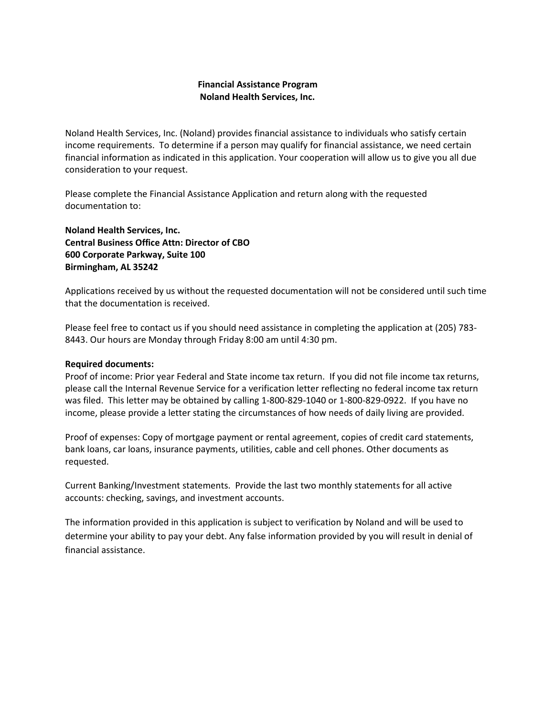### Financial Assistance Program Noland Health Services, Inc.

Noland Health Services, Inc. (Noland) provides financial assistance to individuals who satisfy certain income requirements. To determine if a person may qualify for financial assistance, we need certain financial information as indicated in this application. Your cooperation will allow us to give you all due consideration to your request.

Please complete the Financial Assistance Application and return along with the requested documentation to:

Noland Health Services, Inc. Central Business Office Attn: Director of CBO 600 Corporate Parkway, Suite 100 Birmingham, AL 35242

Applications received by us without the requested documentation will not be considered until such time that the documentation is received.

Please feel free to contact us if you should need assistance in completing the application at (205) 783- 8443. Our hours are Monday through Friday 8:00 am until 4:30 pm.

#### Required documents:

Proof of income: Prior year Federal and State income tax return. If you did not file income tax returns, please call the Internal Revenue Service for a verification letter reflecting no federal income tax return was filed. This letter may be obtained by calling 1-800-829-1040 or 1-800-829-0922. If you have no income, please provide a letter stating the circumstances of how needs of daily living are provided.

Proof of expenses: Copy of mortgage payment or rental agreement, copies of credit card statements, bank loans, car loans, insurance payments, utilities, cable and cell phones. Other documents as requested.

Current Banking/Investment statements. Provide the last two monthly statements for all active accounts: checking, savings, and investment accounts.

The information provided in this application is subject to verification by Noland and will be used to determine your ability to pay your debt. Any false information provided by you will result in denial of financial assistance.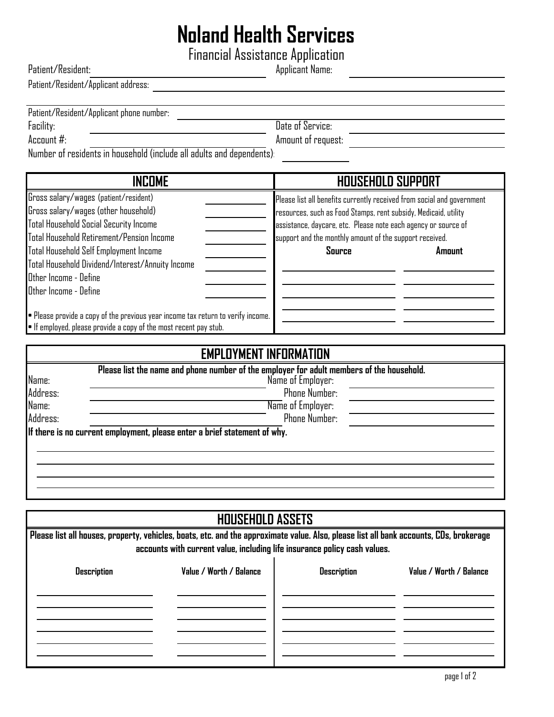# Noland Health Services

Financial Assistance Application

Applicant Name: Patient/Resident:

Patient/Resident/Applicant address:

| Patient/Resident/Applicant phone number:<br>Facility:                                                                                                                                                               | Date of Service:                                                       |  |  |
|---------------------------------------------------------------------------------------------------------------------------------------------------------------------------------------------------------------------|------------------------------------------------------------------------|--|--|
| Account $#$ :                                                                                                                                                                                                       | Amount of request:                                                     |  |  |
|                                                                                                                                                                                                                     |                                                                        |  |  |
| Number of residents in household (include all adults and dependents).                                                                                                                                               |                                                                        |  |  |
| <b>INCOME</b>                                                                                                                                                                                                       | <b>HOUSEHOLD SUPPORT</b>                                               |  |  |
| Gross salary/wages (patient/resident)                                                                                                                                                                               | Please list all benefits currently received from social and government |  |  |
| Gross salary/wages (other household)                                                                                                                                                                                | resources, such as Food Stamps, rent subsidy, Medicaid, utility        |  |  |
| Total Household Social Security Income                                                                                                                                                                              | assistance, daycare, etc. Please note each agency or source of         |  |  |
| Total Household Retirement/Pension Income                                                                                                                                                                           | support and the monthly amount of the support received.                |  |  |
| Total Household Self Employment Income                                                                                                                                                                              | Source<br>Amount                                                       |  |  |
| Total Household Dividend/Interest/Annuity Income                                                                                                                                                                    |                                                                        |  |  |
| Other Income - Define                                                                                                                                                                                               |                                                                        |  |  |
| Other Income - Define                                                                                                                                                                                               |                                                                        |  |  |
|                                                                                                                                                                                                                     |                                                                        |  |  |
| . Please provide a copy of the previous year income tax return to verify income.                                                                                                                                    |                                                                        |  |  |
| . If employed, please provide a copy of the most recent pay stub.                                                                                                                                                   |                                                                        |  |  |
| <b>EMPLOYMENT INFORMATION</b>                                                                                                                                                                                       |                                                                        |  |  |
| Please list the name and phone number of the employer for adult members of the household.                                                                                                                           |                                                                        |  |  |
|                                                                                                                                                                                                                     |                                                                        |  |  |
| Name:                                                                                                                                                                                                               | Name of Employer:                                                      |  |  |
| Address:                                                                                                                                                                                                            | <b>Phone Number:</b>                                                   |  |  |
| Name:                                                                                                                                                                                                               | Name of Employer:                                                      |  |  |
| Address:                                                                                                                                                                                                            | <b>Phone Number:</b>                                                   |  |  |
| If there is no current employment, please enter a brief statement of why.                                                                                                                                           |                                                                        |  |  |
|                                                                                                                                                                                                                     |                                                                        |  |  |
|                                                                                                                                                                                                                     |                                                                        |  |  |
|                                                                                                                                                                                                                     |                                                                        |  |  |
|                                                                                                                                                                                                                     |                                                                        |  |  |
|                                                                                                                                                                                                                     |                                                                        |  |  |
| <b>HOUSEHOLD ASSETS</b>                                                                                                                                                                                             |                                                                        |  |  |
|                                                                                                                                                                                                                     |                                                                        |  |  |
| Please list all houses, property, vehicles, boats, etc. and the approximate value. Also, please list all bank accounts, CDs, brokerage<br>accounts with current value, including life insurance policy cash values. |                                                                        |  |  |

 $\overline{a}$  . The contract of  $\overline{a}$